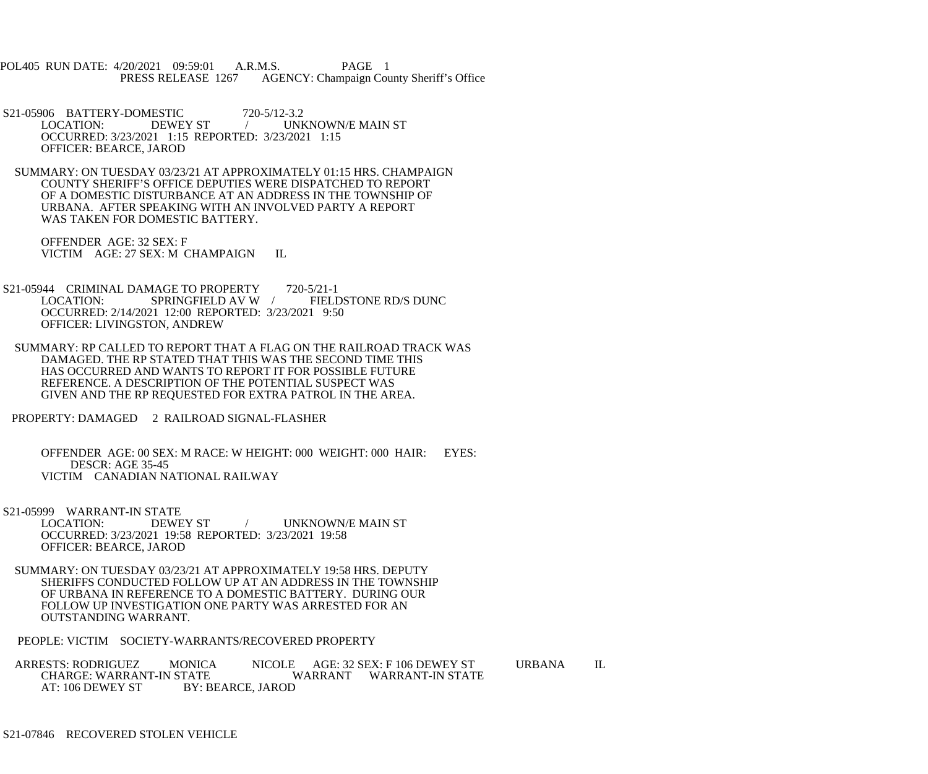POL405 RUN DATE: 4/20/2021 09:59:01 A.R.M.S. PAGE 1 PRESS RELEASE 1267 AGENCY: Champaign County Sheriff's Office

S21-05906 BATTERY-DOMESTIC 720-5/12-3.2<br>LOCATION: DEWEY ST / UNI / UNKNOWN/E MAIN ST OCCURRED: 3/23/2021 1:15 REPORTED: 3/23/2021 1:15 OFFICER: BEARCE, JAROD

 SUMMARY: ON TUESDAY 03/23/21 AT APPROXIMATELY 01:15 HRS. CHAMPAIGN COUNTY SHERIFF'S OFFICE DEPUTIES WERE DISPATCHED TO REPORT OF A DOMESTIC DISTURBANCE AT AN ADDRESS IN THE TOWNSHIP OF URBANA. AFTER SPEAKING WITH AN INVOLVED PARTY A REPORT WAS TAKEN FOR DOMESTIC BATTERY.

 OFFENDER AGE: 32 SEX: F VICTIM AGE: 27 SEX: M CHAMPAIGN IL

S21-05944 CRIMINAL DAMAGE TO PROPERTY 720-5/21-1<br>LOCATION: SPRINGFIELD AV W / FIELD FIELDSTONE RD/S DUNC OCCURRED: 2/14/2021 12:00 REPORTED: 3/23/2021 9:50 OFFICER: LIVINGSTON, ANDREW

 SUMMARY: RP CALLED TO REPORT THAT A FLAG ON THE RAILROAD TRACK WAS DAMAGED. THE RP STATED THAT THIS WAS THE SECOND TIME THIS HAS OCCURRED AND WANTS TO REPORT IT FOR POSSIBLE FUTURE REFERENCE. A DESCRIPTION OF THE POTENTIAL SUSPECT WAS GIVEN AND THE RP REQUESTED FOR EXTRA PATROL IN THE AREA.

PROPERTY: DAMAGED 2 RAILROAD SIGNAL-FLASHER

 OFFENDER AGE: 00 SEX: M RACE: W HEIGHT: 000 WEIGHT: 000 HAIR: EYES: DESCR: AGE 35-45 VICTIM CANADIAN NATIONAL RAILWAY

S21-05999 WARRANT-IN STATE

 LOCATION: DEWEY ST / UNKNOWN/E MAIN ST OCCURRED: 3/23/2021 19:58 REPORTED: 3/23/2021 19:58 OFFICER: BEARCE, JAROD

 SUMMARY: ON TUESDAY 03/23/21 AT APPROXIMATELY 19:58 HRS. DEPUTY SHERIFFS CONDUCTED FOLLOW UP AT AN ADDRESS IN THE TOWNSHIP OF URBANA IN REFERENCE TO A DOMESTIC BATTERY. DURING OUR FOLLOW UP INVESTIGATION ONE PARTY WAS ARRESTED FOR AN OUTSTANDING WARRANT.

PEOPLE: VICTIM SOCIETY-WARRANTS/RECOVERED PROPERTY

ARRESTS: RODRIGUEZ MONICA NICOLE AGE: 32 SEX: F 106 DEWEY ST URBANA IL<br>CHARGE: WARRANT-IN STATE WARRANT WARRANT-IN STATE CHARGE: WARRANT-IN STATE WARRANT WARRANT-IN STATE<br>AT: 106 DEWEY ST BY: BEARCE, JAROD BY: BEARCE, JAROD